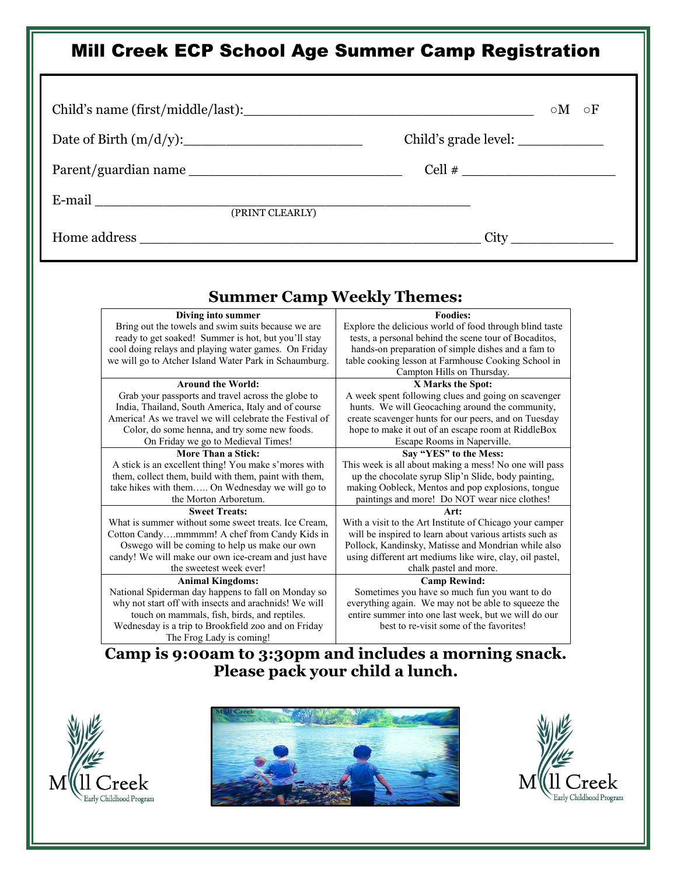#### Mill Creek ECP School Age Summer Camp Registration Child's name (first/middle/last):  $\circ M \circ F$  Date of Birth (m/d/y):\_\_\_\_\_\_\_\_\_\_\_\_\_\_\_\_\_\_\_\_\_ Child's grade level: \_\_\_\_\_\_\_\_\_\_ Parent/guardian name \_\_\_\_\_\_\_\_\_\_\_\_\_\_\_\_\_\_\_\_\_\_\_\_\_ Cell # \_\_\_\_\_\_\_\_\_\_\_\_\_\_\_\_\_\_ E-mail \_\_\_\_\_\_\_\_\_\_\_\_\_\_\_\_\_\_\_\_\_\_\_\_\_\_\_\_\_\_\_\_\_\_\_\_\_\_\_\_\_\_\_\_ (PRINT CLEARLY) Home address \_\_\_\_\_\_\_\_\_\_\_\_\_\_\_\_\_\_\_\_\_\_\_\_\_\_\_\_\_\_\_\_\_\_\_\_\_\_\_\_ City \_\_\_\_\_\_\_\_\_\_\_\_ **Summer Camp Weekly Themes: Camp is 9:00am to 3:30pm and includes a morning snack. Please pack your child a lunch. Diving into summer** Bring out the towels and swim suits because we are ready to get soaked! Summer is hot, but you'll stay cool doing relays and playing water games. On Friday we will go to Atcher Island Water Park in Schaumburg. **Foodies:** Explore the delicious world of food through blind taste tests, a personal behind the scene tour of Bocaditos, hands-on preparation of simple dishes and a fam to table cooking lesson at Farmhouse Cooking School in Campton Hills on Thursday. **Around the World:** Grab your passports and travel across the globe to India, Thailand, South America, Italy and of course America! As we travel we will celebrate the Festival of Color, do some henna, and try some new foods. On Friday we go to Medieval Times! **X Marks the Spot:** A week spent following clues and going on scavenger hunts. We will Geocaching around the community, create scavenger hunts for our peers, and on Tuesday hope to make it out of an escape room at RiddleBox Escape Rooms in Naperville. **More Than a Stick:** A stick is an excellent thing! You make s'mores with them, collect them, build with them, paint with them, take hikes with them….. On Wednesday we will go to the Morton Arboretum. **Say "YES" to the Mess:** This week is all about making a mess! No one will pass up the chocolate syrup Slip'n Slide, body painting, making Oobleck, Mentos and pop explosions, tongue paintings and more! Do NOT wear nice clothes! **Sweet Treats:** What is summer without some sweet treats. Ice Cream, Cotton Candy….mmmmm! A chef from Candy Kids in Oswego will be coming to help us make our own candy! We will make our own ice-cream and just have the sweetest week ever! **Art:** With a visit to the Art Institute of Chicago your camper will be inspired to learn about various artists such as Pollock, Kandinsky, Matisse and Mondrian while also using different art mediums like wire, clay, oil pastel, chalk pastel and more. **Animal Kingdoms:** National Spiderman day happens to fall on Monday so why not start off with insects and arachnids! We will touch on mammals, fish, birds, and reptiles. Wednesday is a trip to Brookfield zoo and on Friday The Frog Lady is coming! **Camp Rewind:** Sometimes you have so much fun you want to do everything again. We may not be able to squeeze the entire summer into one last week, but we will do our best to re-visit some of the favorites!



 $\overline{\phantom{a}}$ 

 $\overline{\phantom{a}}$ 

 $\overline{\phantom{a}}$ 

 $\overline{\phantom{a}}$